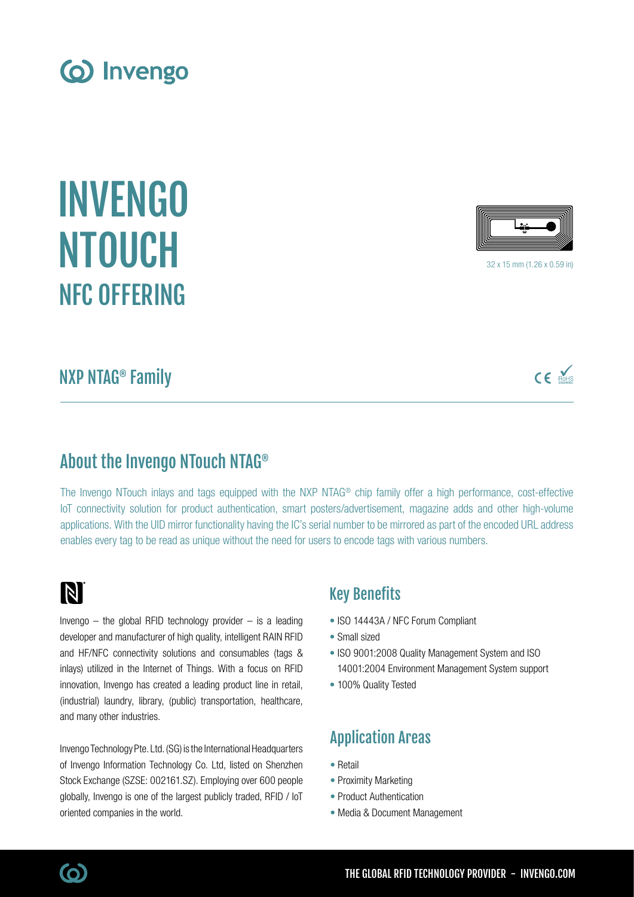INVENGO NTOUCH

# NXP NTAG® Family

NFC OFFERING

## About the Invengo NTouch NTAG®

The Invengo NTouch inlays and tags equipped with the NXP NTAG® chip family offer a high performance, cost-effective IoT connectivity solution for product authentication, smart posters/advertisement, magazine adds and other high-volume applications. With the UID mirror functionality having the IC's serial number to be mirrored as part of the encoded URL address enables every tag to be read as unique without the need for users to encode tags with various numbers.

# N

(ဝ)

Invengo  $-$  the global RFID technology provider  $-$  is a leading developer and manufacturer of high quality, intelligent RAIN RFID and HF/NFC connectivity solutions and consumables (tags & inlays) utilized in the Internet of Things. With a focus on RFID innovation, Invengo has created a leading product line in retail, (industrial) laundry, library, (public) transportation, healthcare, and many other industries.

Invengo Technology Pte. Ltd. (SG) is the International Headquarters of Invengo Information Technology Co. Ltd, listed on Shenzhen Stock Exchange (SZSE: 002161.SZ). Employing over 600 people globally, Invengo is one of the largest publicly traded, RFID / IoT oriented companies in the world.

### Key Benefits

- ISO 14443A / NFC Forum Compliant
- Small sized
- ISO 9001:2008 Quality Management System and ISO 14001:2004 Environment Management System support
- 100% Quality Tested

## Application Areas

- Retail
- Proximity Marketing
- Product Authentication
- Media & Document Management